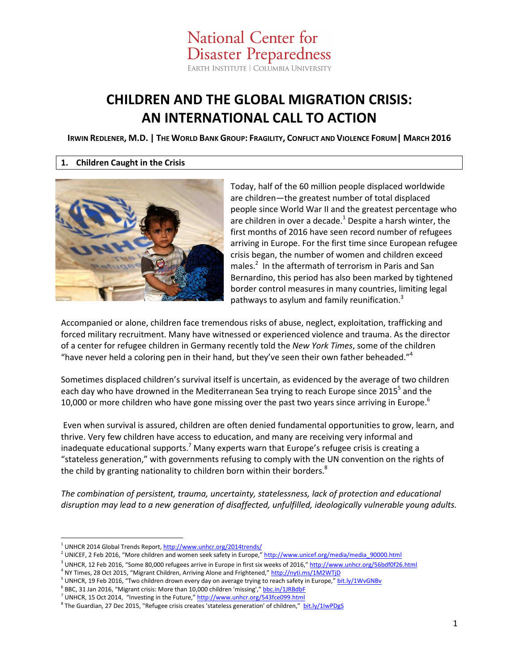**National Center for Disaster Preparedness** EARTH INSTITUTE | COLUMBIA UNIVERSITY

# **CHILDREN AND THE GLOBAL MIGRATION CRISIS: AN INTERNATIONAL CALL TO ACTION**

IRWIN REDLENER, M.D. | THE WORLD BANK GROUP: FRAGILITY, CONFLICT AND VIOLENCE FORUM | MARCH 2016

### **1. Children Caught in the Crisis**



Today, half of the 60 million people displaced worldwide are children—the greatest number of total displaced people since World War II and the greatest percentage who are children in over a decade. $^1$  Despite a harsh winter, the first months of 2016 have seen record number of refugees arriving in Europe. For the first time since European refugee crisis began, the number of women and children exceed males.<sup>2</sup> In the aftermath of terrorism in Paris and San Bernardino, this period has also been marked by tightened border control measures in many countries, limiting legal pathways to asylum and family reunification. $3$ 

Accompanied or alone, children face tremendous risks of abuse, neglect, exploitation, trafficking and forced military recruitment. Many have witnessed or experienced violence and trauma. As the director of a center for refugee children in Germany recently told the *New York Times*, some of the children "have never held a coloring pen in their hand, but they've seen their own father beheaded."<sup>4</sup>

Sometimes displaced children's survival itself is uncertain, as evidenced by the average of two children each day who have drowned in the Mediterranean Sea trying to reach Europe since 2015<sup>5</sup> and the 10,000 or more children who have gone missing over the past two years since arriving in Europe.<sup>6</sup>

 Even when survival is assured, children are often denied fundamental opportunities to grow, learn, and thrive. Very few children have access to education, and many are receiving very informal and inadequate educational supports.<sup>7</sup> Many experts warn that Europe's refugee crisis is creating a "stateless generation," with governments refusing to comply with the UN convention on the rights of the child by granting nationality to children born within their borders.<sup>8</sup>

*The combination of persistent, trauma, uncertainty, statelessness, lack of protection and educational disruption may lead to a new generation of disaffected, unfulfilled, ideologically vulnerable young adults.* 

-

<sup>&</sup>lt;sup>1</sup> UNHCR 2014 Global Trends Report, http://www.unhcr.org/2014trends/

<sup>&</sup>lt;sup>2</sup> UNICEF, 2 Feb 2016, "More children and women seek safety in Europe," http://www.unicef.org/media/media\_90000.html

<sup>&</sup>lt;sup>3</sup> UNHCR, 12 Feb 2016, "Some 80,000 refugees arrive in Europe in first six weeks of 2016," http://www.unhcr.org/56bdf0f26.html

<sup>&</sup>lt;sup>4</sup> NY Times, 28 Oct 2015, "Migrant Children, Arriving Alone and Frightened," http://nyti.ms/1M2WTjD

<sup>&</sup>lt;sup>5</sup> UNHCR, 19 Feb 2016, "Two children drown every day on average trying to reach safety in Europe," bit.ly/1WvGNBv

<sup>&</sup>lt;sup>6</sup> BBC, 31 Jan 2016, "Migrant crisis: More than 10,000 children 'missing'," **bbc.in/1JRBdbF** 

<sup>&</sup>lt;sup>7</sup> UNHCR, 15 Oct 2014, "Investing in the Future," http://www.unhcr.org/543fce099.html

<sup>&</sup>lt;sup>8</sup> The Guardian, 27 Dec 2015, "Refugee crisis creates 'stateless generation' of children," houtling bit.ly/1IwPDgS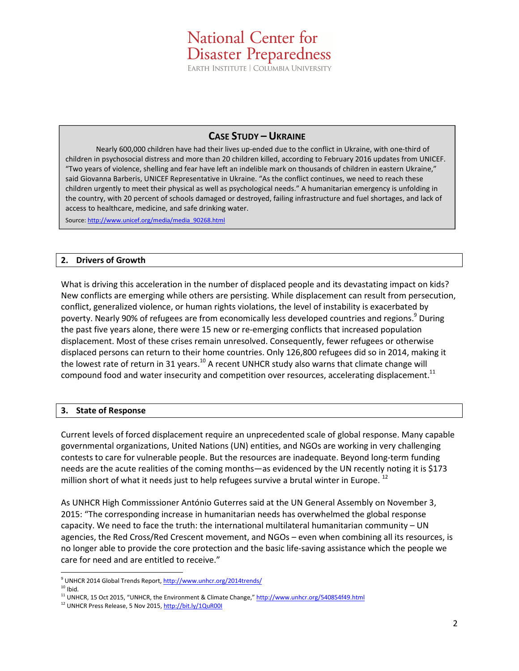# **National Center for Disaster Preparedness** EARTH INSTITUTE | COLUMBIA UNIVERSITY

## **CASE STUDY – UKRAINE**

Nearly 600,000 children have had their lives up-ended due to the conflict in Ukraine, with one-third of children in psychosocial distress and more than 20 children killed, according to February 2016 updates from UNICEF. "Two years of violence, shelling and fear have left an indelible mark on thousands of children in eastern Ukraine," said Giovanna Barberis, UNICEF Representative in Ukraine. "As the conflict continues, we need to reach these children urgently to meet their physical as well as psychological needs." A humanitarian emergency is unfolding in the country, with 20 percent of schools damaged or destroyed, failing infrastructure and fuel shortages, and lack of access to healthcare, medicine, and safe drinking water.

Source: http://www.unicef.org/media/media\_90268.html

#### **2. Drivers of Growth**

What is driving this acceleration in the number of displaced people and its devastating impact on kids? New conflicts are emerging while others are persisting. While displacement can result from persecution, conflict, generalized violence, or human rights violations, the level of instability is exacerbated by poverty. Nearly 90% of refugees are from economically less developed countries and regions.<sup>9</sup> During the past five years alone, there were 15 new or re-emerging conflicts that increased population displacement. Most of these crises remain unresolved. Consequently, fewer refugees or otherwise displaced persons can return to their home countries. Only 126,800 refugees did so in 2014, making it the lowest rate of return in 31 years.<sup>10</sup> A recent UNHCR study also warns that climate change will compound food and water insecurity and competition over resources, accelerating displacement.<sup>11</sup>

#### **3. State of Response**

Current levels of forced displacement require an unprecedented scale of global response. Many capable governmental organizations, United Nations (UN) entities, and NGOs are working in very challenging contests to care for vulnerable people. But the resources are inadequate. Beyond long-term funding needs are the acute realities of the coming months—as evidenced by the UN recently noting it is \$173 million short of what it needs just to help refugees survive a brutal winter in Europe.<sup>12</sup>

As UNHCR High Commisssioner António Guterres said at the UN General Assembly on November 3, 2015: "The corresponding increase in humanitarian needs has overwhelmed the global response capacity. We need to face the truth: the international multilateral humanitarian community – UN agencies, the Red Cross/Red Crescent movement, and NGOs – even when combining all its resources, is no longer able to provide the core protection and the basic life-saving assistance which the people we care for need and are entitled to receive."

<u>.</u>

<sup>&</sup>lt;sup>9</sup> UNHCR 2014 Global Trends Report, http://www.unhcr.org/2014trends/

 $10$  Ibid.

<sup>&</sup>lt;sup>11</sup> UNHCR, 15 Oct 2015, "UNHCR, the Environment & Climate Change," http://www.unhcr.org/540854f49.html

<sup>&</sup>lt;sup>12</sup> UNHCR Press Release, 5 Nov 2015, http://bit.ly/1QuR00I